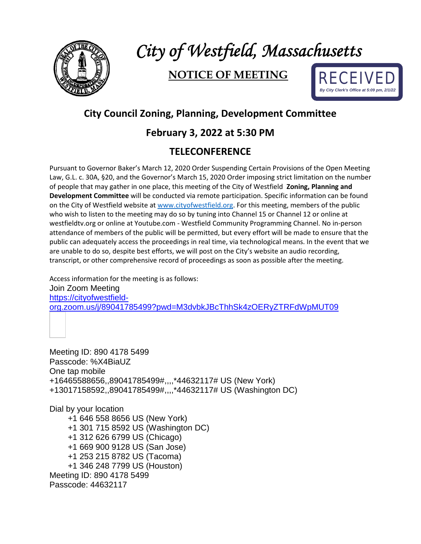

# *City of Westfield, Massachusetts*

## **NOTICE OF MEETING**



### **City Council Zoning, Planning, Development Committee**

#### **February 3, 2022 at 5:30 PM**

#### **TELECONFERENCE**

Pursuant to Governor Baker's March 12, 2020 Order Suspending Certain Provisions of the Open Meeting Law, G.L. c. 30A, §20, and the Governor's March 15, 2020 Order imposing strict limitation on the number of people that may gather in one place, this meeting of the City of Westfield **Zoning, Planning and Development Committee** will be conducted via remote participation. Specific information can be found on the City of Westfield website at [www.cityofwestfield.org.](http://www.cityofwestfield.org/) For this meeting, members of the public who wish to listen to the meeting may do so by tuning into Channel 15 or Channel 12 or online at westfieldtv.org or online at Youtube.com - Westfield Community Programming Channel. No in-person attendance of members of the public will be permitted, but every effort will be made to ensure that the public can adequately access the proceedings in real time, via technological means. In the event that we are unable to do so, despite best efforts, we will post on the City's website an audio recording, transcript, or other comprehensive record of proceedings as soon as possible after the meeting.

Access information for the meeting is as follows: Join Zoom Meeting [https://cityofwestfield](https://cityofwestfield-org.zoom.us/j/89041785499?pwd=M3dvbkJBcThhSk4zOERyZTRFdWpMUT09)[org.zoom.us/j/89041785499?pwd=M3dvbkJBcThhSk4zOERyZTRFdWpMUT09](https://cityofwestfield-org.zoom.us/j/89041785499?pwd=M3dvbkJBcThhSk4zOERyZTRFdWpMUT09)

Meeting ID: 890 4178 5499 Passcode: %X4BiaUZ One tap mobile +16465588656,,89041785499#,,,,\*44632117# US (New York) +13017158592,,89041785499#,,,,\*44632117# US (Washington DC)

Dial by your location

 +1 646 558 8656 US (New York) +1 301 715 8592 US (Washington DC) +1 312 626 6799 US (Chicago) +1 669 900 9128 US (San Jose) +1 253 215 8782 US (Tacoma) +1 346 248 7799 US (Houston) Meeting ID: 890 4178 5499 Passcode: 44632117